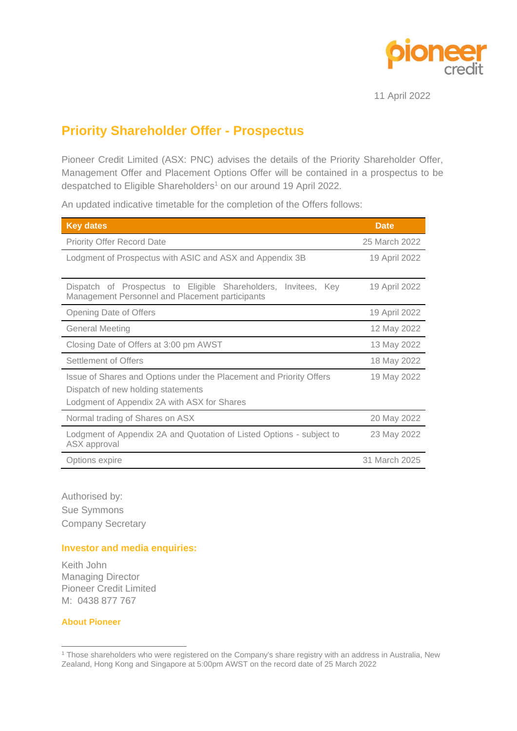

11 April 2022

## **Priority Shareholder Offer - Prospectus**

Pioneer Credit Limited (ASX: PNC) advises the details of the Priority Shareholder Offer, Management Offer and Placement Options Offer will be contained in a prospectus to be despatched to Eligible Shareholders<sup>1</sup> on our around 19 April 2022.

An updated indicative timetable for the completion of the Offers follows:

| <b>Key dates</b>                                                                                                                                         | <b>Date</b>   |
|----------------------------------------------------------------------------------------------------------------------------------------------------------|---------------|
| Priority Offer Record Date                                                                                                                               | 25 March 2022 |
| Lodgment of Prospectus with ASIC and ASX and Appendix 3B                                                                                                 | 19 April 2022 |
| Dispatch of Prospectus to Eligible Shareholders, Invitees, Key<br>Management Personnel and Placement participants                                        | 19 April 2022 |
| Opening Date of Offers                                                                                                                                   | 19 April 2022 |
| <b>General Meeting</b>                                                                                                                                   | 12 May 2022   |
| Closing Date of Offers at 3:00 pm AWST                                                                                                                   | 13 May 2022   |
| Settlement of Offers                                                                                                                                     | 18 May 2022   |
| Issue of Shares and Options under the Placement and Priority Offers<br>Dispatch of new holding statements<br>Lodgment of Appendix 2A with ASX for Shares | 19 May 2022   |
| Normal trading of Shares on ASX                                                                                                                          | 20 May 2022   |
| Lodgment of Appendix 2A and Quotation of Listed Options - subject to<br>ASX approval                                                                     | 23 May 2022   |
| Options expire                                                                                                                                           | 31 March 2025 |

Authorised by: Sue Symmons Company Secretary

## **Investor and media enquiries:**

Keith John Managing Director Pioneer Credit Limited M: 0438 877 767

**About Pioneer**

<sup>1</sup> Those shareholders who were registered on the Company's share registry with an address in Australia, New Zealand, Hong Kong and Singapore at 5:00pm AWST on the record date of 25 March 2022